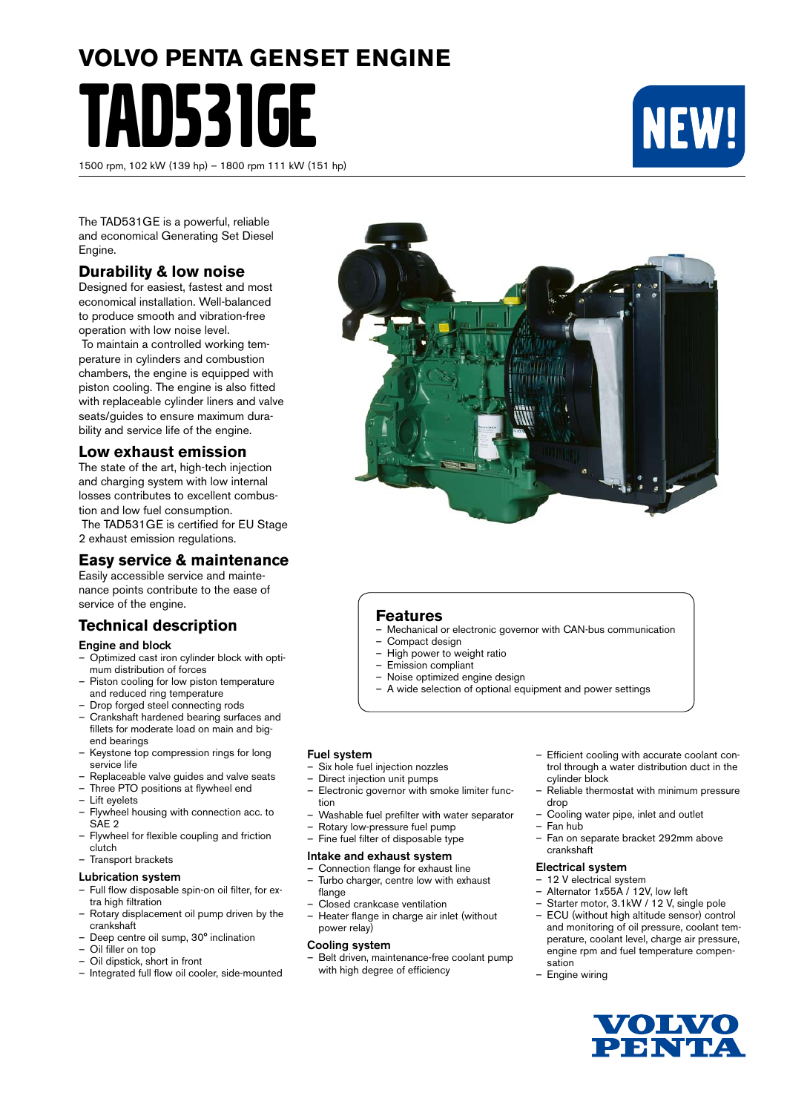# **VOLVO PENTA GENSET ENGINE** TAD531GE

1500 rpm, 102 kW (139 hp) – 1800 rpm 111 kW (151 hp)



The TAD531GE is a powerful, reliable and economical Generating Set Diesel Engine.

#### **Durability & low noise**

Designed for easiest, fastest and most economical installation. Well-balanced to produce smooth and vibration-free operation with low noise level.

 To maintain a controlled working temperature in cylinders and combustion chambers, the engine is equipped with piston cooling. The engine is also fitted with replaceable cylinder liners and valve seats/quides to ensure maximum durability and service life of the engine.

#### **Low exhaust emission**

The state of the art, high-tech injection and charging system with low internal losses contributes to excellent combustion and low fuel consumption.

 The TAD531GE is certified for EU Stage 2 exhaust emission regulations.

#### **Easy service & maintenance**

Easily accessible service and maintenance points contribute to the ease of service of the engine.

#### **Technical description**

#### Engine and block

- Optimized cast iron cylinder block with optimum distribution of forces
- Piston cooling for low piston temperature and reduced ring temperature
- Drop forged steel connecting rods
- Crankshaft hardened bearing surfaces and fillets for moderate load on main and bigend bearings
- Keystone top compression rings for long service life
- Replaceable valve guides and valve seats
- Three PTO positions at flywheel end
- Lift eyelets
- Flywheel housing with connection acc. to SAE 2
- Flywheel for flexible coupling and friction clutch
- Transport brackets

#### Lubrication system

- Full flow disposable spin-on oil filter, for extra high filtration
- Rotary displacement oil pump driven by the crankshaft
- Deep centre oil sump, 30° inclination
- Oil filler on top
- Oil dipstick, short in front
- Integrated full flow oil cooler, side-mounted



#### **Features**

- Mechanical or electronic governor with CAN-bus communication
- Compact design
- High power to weight ratio
- Emission compliant
- Noise optimized engine design
- A wide selection of optional equipment and power settings

#### Fuel system

- Six hole fuel injection nozzles
- Direct injection unit pumps
- Electronic governor with smoke limiter function
- Washable fuel prefilter with water separator
- Rotary low-pressure fuel pump
	-

#### Intake and exhaust system

– Connection flange for exhaust line – Turbo charger, centre low with exhaust

– Fine fuel filter of disposable type

- flange
- Closed crankcase ventilation
- Heater flange in charge air inlet (without power relay)

#### Cooling system

– Belt driven, maintenance-free coolant pump with high degree of efficiency

- Efficient cooling with accurate coolant control through a water distribution duct in the cylinder block
- Reliable thermostat with minimum pressure drop
- Cooling water pipe, inlet and outlet
- Fan hub
- Fan on separate bracket 292mm above crankshaft

#### Electrical system

- 12 V electrical system
- Alternator 1x55A / 12V, low left
- Starter motor, 3.1kW / 12 V, single pole – ECU (without high altitude sensor) control
- and monitoring of oil pressure, coolant temperature, coolant level, charge air pressure, engine rpm and fuel temperature compensation
- Engine wiring